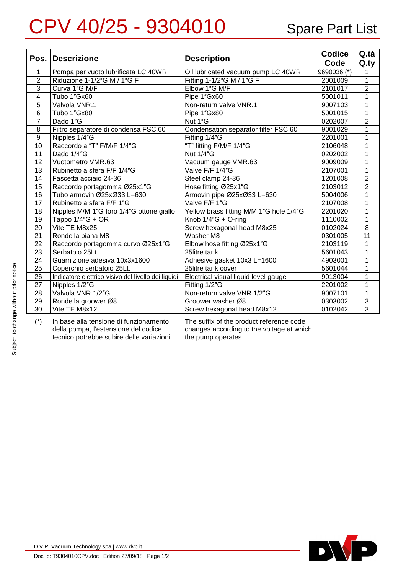## CPV 40/25 - 9304010 Spare Part List

| Pos.           | <b>Descrizione</b>                                  | <b>Description</b>                      | <b>Codice</b><br>Code | Q.tà<br>Q.ty   |
|----------------|-----------------------------------------------------|-----------------------------------------|-----------------------|----------------|
| 1              | Pompa per vuoto lubrificata LC 40WR                 | Oil lubricated vacuum pump LC 40WR      | 9690036 (*)           | 1              |
| $\overline{2}$ | Riduzione 1-1/2"G M / 1"G F                         | Fitting 1-1/2"G M / 1"G F               | 2001009               | $\mathbf{1}$   |
| $\overline{3}$ | Curva 1"G M/F                                       | Elbow 1"G M/F                           | 2101017               | $\overline{2}$ |
| 4              | Tubo 1"Gx60                                         | Pipe 1"Gx60                             | 5001011               | 1              |
| 5              | Valvola VNR.1                                       | Non-return valve VNR.1                  | 9007103               | 1              |
| $\overline{6}$ | Tubo 1"Gx80                                         | Pipe 1"Gx80                             | 5001015               | $\mathbf{1}$   |
| $\overline{7}$ | Dado 1"G                                            | Nut 1"G                                 | 0202007               | $\overline{2}$ |
| 8              | Filtro separatore di condensa FSC.60                | Condensation separator filter FSC.60    | 9001029               | $\mathbf{1}$   |
| 9              | Nipples 1/4"G                                       | Fitting 1/4"G                           | 2201001               | 1              |
| 10             | Raccordo a "T" F/M/F 1/4"G                          | "T" fitting F/M/F 1/4"G                 | 2106048               | 1              |
| 11             | Dado 1/4"G                                          | <b>Nut 1/4"G</b>                        | 0202002               | 1              |
| 12             | Vuotometro VMR.63                                   | Vacuum gauge VMR.63                     | 9009009               | 1              |
| 13             | Rubinetto a sfera F/F 1/4"G                         | Valve F/F 1/4"G                         | 2107001               | $\mathbf{1}$   |
| 14             | Fascetta acciaio 24-36                              | Steel clamp 24-36                       | 1201008               | $\overline{2}$ |
| 15             | Raccordo portagomma Ø25x1"G                         | Hose fitting Ø25x1"G                    | 2103012               | $\overline{2}$ |
| 16             | Tubo armovin Ø25xØ33 L=630                          | Armovin pipe Ø25xØ33 L=630              | 5004006               | $\mathbf{1}$   |
| 17             | Rubinetto a sfera F/F 1"G                           | Valve F/F 1"G                           | 2107008               | 1              |
| 18             | Nipples M/M 1"G foro 1/4"G ottone giallo            | Yellow brass fitting M/M 1"G hole 1/4"G | 2201020               | 1              |
| 19             | Tappo $1/4$ "G + OR                                 | Knob 1/4"G + O-ring                     | 1110002               | $\mathbf{1}$   |
| 20             | Vite TE M8x25                                       | Screw hexagonal head M8x25              | 0102024               | 8              |
| 21             | Rondella piana M8                                   | Washer M8                               | 0301005               | 11             |
| 22             | Raccordo portagomma curvo Ø25x1"G                   | Elbow hose fitting Ø25x1"G              | 2103119               | $\mathbf{1}$   |
| 23             | Serbatoio 25Lt.                                     | 25litre tank                            | 5601043               | $\mathbf{1}$   |
| 24             | Guarnizione adesiva 10x3x1600                       | Adhesive gasket 10x3 L=1600             | 4903001               | 1              |
| 25             | Coperchio serbatoio 25Lt.                           | 25litre tank cover                      | 5601044               | 1              |
| 26             | Indicatore elettrico-visivo del livello dei liquidi | Electrical visual liquid level gauge    | 9013004               | 1              |
| 27             | Nipples 1/2"G                                       | Fitting 1/2"G                           | 2201002               | 1              |
| 28             | Valvola VNR.1/2"G                                   | Non-return valve VNR 1/2"G              | 9007101               | 1              |
| 29             | Rondella groower Ø8                                 | Groower washer Ø8                       | 0303002               | 3              |
| 30             | Vite TE M8x12                                       | Screw hexagonal head M8x12              | 0102042               | $\overline{3}$ |

(\*) In base alla tensione di funzionamento della pompa, l'estensione del codice tecnico potrebbe subire delle variazioni The suffix of the product reference code changes according to the voltage at which the pump operates